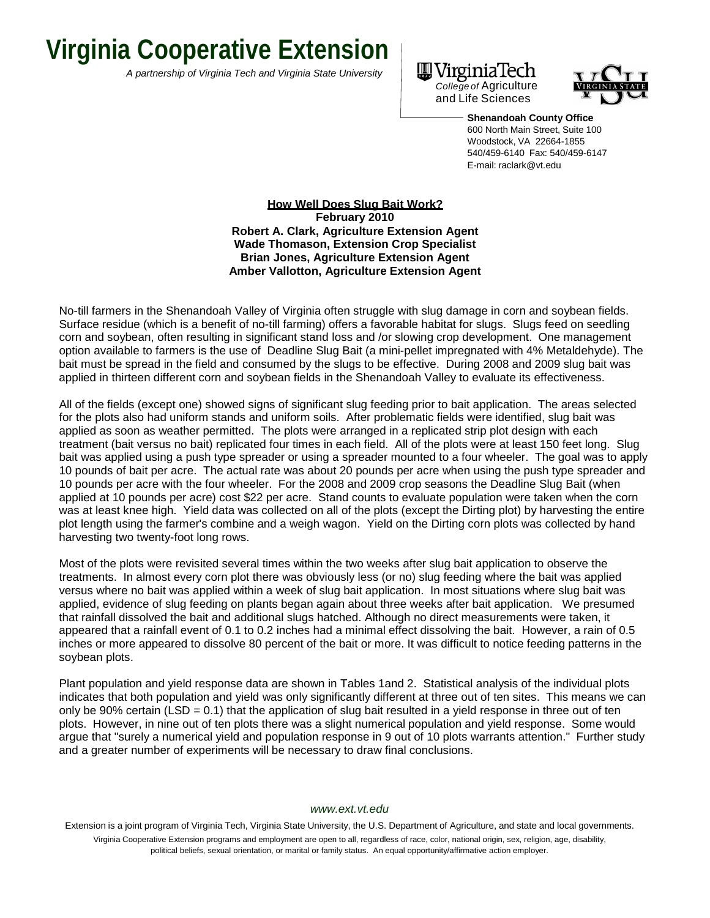## **Virginia Cooperative Extension**

*A partnership of Virginia Tech and Virginia State University*





**Shenandoah County Office** 600 North Main Street, Suite 100 Woodstock, VA 22664-1855 540/459-6140 Fax: 540/459-6147 E-mail: [raclark@vt.edu](mailto:k@vt.edu)

**How Well Does Slug Bait Work? February 2010 Robert A. Clark, Agriculture Extension Agent Wade Thomason, Extension Crop Specialist Brian Jones, Agriculture Extension Agent Amber Vallotton, Agriculture Extension Agent**

No-till farmers in the Shenandoah Valley of Virginia often struggle with slug damage in corn and soybean fields. Surface residue (which is a benefit of no-till farming) offers a favorable habitat for slugs. Slugs feed on seedling corn and soybean, often resulting in significant stand loss and /or slowing crop development. One management option available to farmers is the use of Deadline Slug Bait (a mini-pellet impregnated with 4% Metaldehyde). The bait must be spread in the field and consumed by the slugs to be effective. During 2008 and 2009 slug bait was applied in thirteen different corn and soybean fields in the Shenandoah Valley to evaluate its effectiveness.

All of the fields (except one) showed signs of significant slug feeding prior to bait application. The areas selected for the plots also had uniform stands and uniform soils. After problematic fields were identified, slug bait was applied as soon as weather permitted. The plots were arranged in a replicated strip plot design with each treatment (bait versus no bait) replicated four times in each field. All of the plots were at least 150 feet long. Slug bait was applied using a push type spreader or using a spreader mounted to a four wheeler. The goal was to apply 10 pounds of bait per acre. The actual rate was about 20 pounds per acre when using the push type spreader and 10 pounds per acre with the four wheeler. For the 2008 and 2009 crop seasons the Deadline Slug Bait (when applied at 10 pounds per acre) cost \$22 per acre. Stand counts to evaluate population were taken when the corn was at least knee high. Yield data was collected on all of the plots (except the Dirting plot) by harvesting the entire plot length using the farmer's combine and a weigh wagon. Yield on the Dirting corn plots was collected by hand harvesting two twenty-foot long rows.

Most of the plots were revisited several times within the two weeks after slug bait application to observe the treatments. In almost every corn plot there was obviously less (or no) slug feeding where the bait was applied versus where no bait was applied within a week of slug bait application. In most situations where slug bait was applied, evidence of slug feeding on plants began again about three weeks after bait application. We presumed that rainfall dissolved the bait and additional slugs hatched. Although no direct measurements were taken, it appeared that a rainfall event of 0.1 to 0.2 inches had a minimal effect dissolving the bait. However, a rain of 0.5 inches or more appeared to dissolve 80 percent of the bait or more. It was difficult to notice feeding patterns in the soybean plots.

Plant population and yield response data are shown in Tables 1and 2. Statistical analysis of the individual plots indicates that both population and yield was only significantly different at three out of ten sites. This means we can only be 90% certain (LSD =  $0.1$ ) that the application of slug bait resulted in a yield response in three out of ten plots. However, in nine out of ten plots there was a slight numerical population and yield response. Some would argue that "surely a numerical yield and population response in 9 out of 10 plots warrants attention." Further study and a greater number of experiments will be necessary to draw final conclusions.

## *[www.ext.vt.edu](http://www.ext.vt.edu/)*

Extension is a joint program of Virginia Tech, Virginia State University, the U.S. Department of Agriculture, and state and local governments. Virginia Cooperative Extension programs and employment are open to all, regardless of race, color, national origin, sex, religion, age, disability, political beliefs, sexual orientation, or marital or family status. An equal opportunity/affirmative action employer.